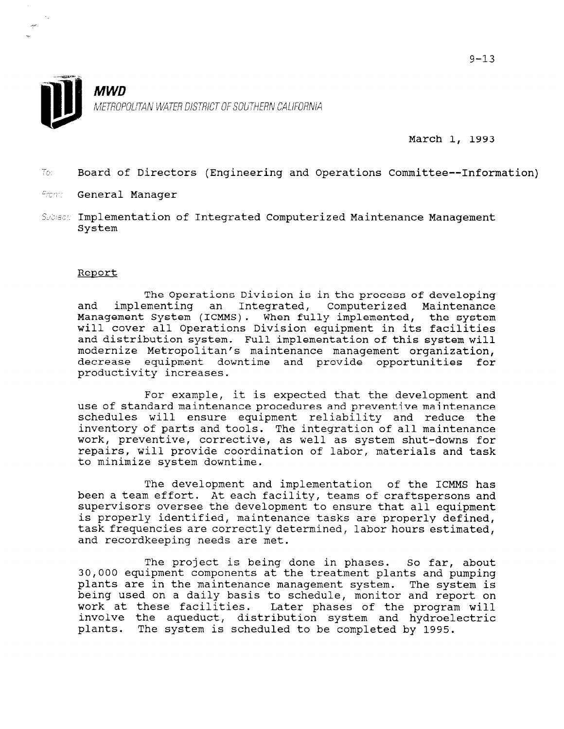

March 1, 1993

- 2,: Board of Directors (Engineering and Operations Committee--Information)
- From: General Manager
- Subisch: Implementation of Integrated Computerized Maintenance Management System

## Report

The Operations Division is in the process of developing and implementing an Integrated, Computerized Maintenance Management System (ICMMS). When fully implemented, the system will cover all Operations Division equipment in its facilities and distribution system. Full implementation of this system will modernize Metropolitan's maintenance management organization, decrease equipment downtime and provide opportunities for productivity increases.

For example, it is expected that the development and use of standard maintenance procedures and preventive maintenance schedules will ensure equipment reliability and reduce the inventory of parts and tools. The integration of all maintenance work, preventive, corrective, as well as system shut-downs for repairs, will provide coordination of labor, materials and task to minimize system downtime.

The development and implementation of the ICMMS has been a team effort. At each facility, teams of creatures and peen a team effort. At each facility, teams of craftspersons and the property of the development of the continuous supervisors oversee the development to ensure that all equipment is properly identified, maintenance tasks are properly defined, tas property fuencified, maintenance casks are property definited ask frequencies are correctly de

The project is being done in phases. So far, about The project is being done in phases. So far, about 30,000 equipment components at the treatment plants and pumping plants are in the maintenance management system. The system is being used on a daily basis to schedule, monitor and report on work at these facilities. Later phases of the program<br>intelectric the consolution distribution system and hydrogram involve the aqueduct, distribution system and hydroe.